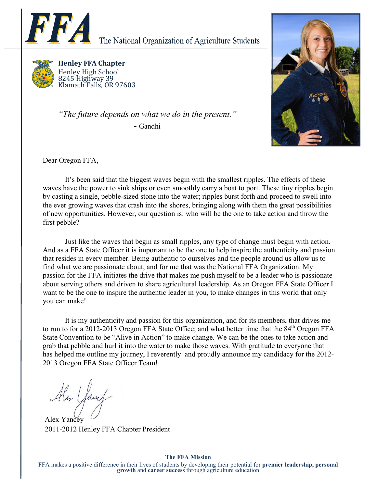

The National Organization of Agriculture Students



Henley FFA Chapter Henley High School 8245 Highway 39 Klamath Falls, OR 97603

"The future depends on what we do in the present." - Gandhi



Dear Oregon FFA,

 It's been said that the biggest waves begin with the smallest ripples. The effects of these waves have the power to sink ships or even smoothly carry a boat to port. These tiny ripples begin by casting a single, pebble-sized stone into the water; ripples burst forth and proceed to swell into the ever growing waves that crash into the shores, bringing along with them the great possibilities of new opportunities. However, our question is: who will be the one to take action and throw the first pebble?

 Just like the waves that begin as small ripples, any type of change must begin with action. And as a FFA State Officer it is important to be the one to help inspire the authenticity and passion that resides in every member. Being authentic to ourselves and the people around us allow us to find what we are passionate about, and for me that was the National FFA Organization. My passion for the FFA initiates the drive that makes me push myself to be a leader who is passionate about serving others and driven to share agricultural leadership. As an Oregon FFA State Officer I want to be the one to inspire the authentic leader in you, to make changes in this world that only you can make!

 It is my authenticity and passion for this organization, and for its members, that drives me to run to for a 2012-2013 Oregon FFA State Office; and what better time that the 84<sup>th</sup> Oregon FFA State Convention to be "Alive in Action" to make change. We can be the ones to take action and grab that pebble and hurl it into the water to make those waves. With gratitude to everyone that has helped me outline my journey, I reverently and proudly announce my candidacy for the 2012-2013 Oregon FFA State Officer Team!

Alex Jam

Alex Yancey 2011-2012 Henley FFA Chapter President

## The FFA Mission

FFA makes a positive difference in their lives of students by developing their potential for **premier leadership, personal** growth and career success through agriculture education